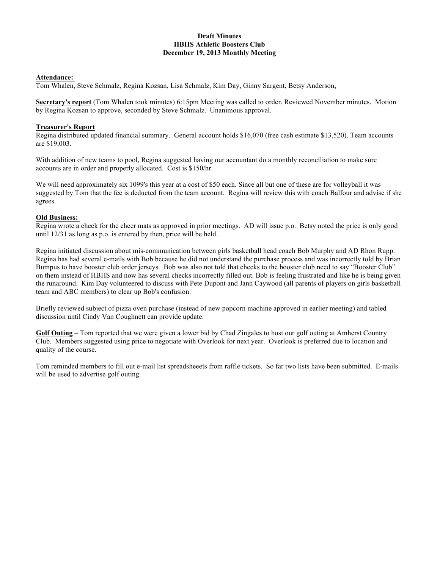#### **Draft Minutes HBHS Athletic Boosters Club December 19, 2013 Monthly Meeting**

#### **Attendance:**

Tom Whalen, Steve Schmalz, Regina Kozsan, Lisa Schmalz, Kim Day, Ginny Sargent, Betsy Anderson,

**Secretary's report** (Tom Whalen took minutes) 6:15pm Meeting was called to order. Reviewed November minutes. Motion by Regina Kozsan to approve, seconded by Steve Schmalz. Unanimous approval.

## **Treasurer's Report**

Regina distributed updated financial summary. General account holds \$16,070 (free cash estimate \$13,520). Team accounts are \$19,003.

With addition of new teams to pool, Regina suggested having our accountant do a monthly reconciliation to make sure accounts are in order and properly allocated. Cost is \$150/hr.

We will need approximately six 1099's this year at a cost of \$50 each. Since all but one of these are for volleyball it was suggested by Tom that the fee is deducted from the team account. Regina will review this with coach Balfour and advise if she agrees.

## **Old Business:**

Regina wrote a check for the cheer mats as approved in prior meetings. AD will issue p.o. Betsy noted the price is only good until 12/31 as long as p.o. is entered by then, price will be held.

Regina initiated discussion about mis-communication between girls basketball head coach Bob Murphy and AD Rhon Rupp. Regina has had several e-mails with Bob because he did not understand the purchase process and was incorrectly told by Brian Bumpus to have booster club order jerseys. Bob was also not told that checks to the booster club need to say "Booster Club" on them instead of HBHS and now has several checks incorrectly filled out. Bob is feeling frustrated and like he is being given the runaround. Kim Day volunteered to discuss with Pete Dupont and Jann Caywood (all parents of players on girls basketball team and ABC members) to clear up Bob's confusion.

Briefly reviewed subject of pizza oven purchase (instead of new popcorn machine approved in earlier meeting) and tabled discussion until Cindy Van Coughnett can provide update.

**Golf Outing** – Tom reported that we were given a lower bid by Chad Zingales to host our golf outing at Amherst Country Club. Members suggested using price to negotiate with Overlook for next year. Overlook is preferred due to location and quality of the course.

Tom reminded members to fill out e-mail list spreadsheeets from raffle tickets. So far two lists have been submitted. E-mails will be used to advertise golf outing.